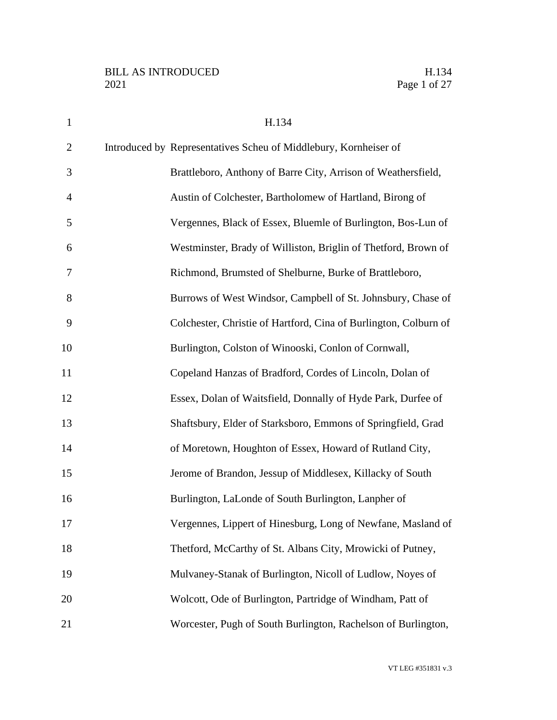| $\mathbf{1}$   | H.134                                                            |
|----------------|------------------------------------------------------------------|
| $\overline{2}$ | Introduced by Representatives Scheu of Middlebury, Kornheiser of |
| 3              | Brattleboro, Anthony of Barre City, Arrison of Weathersfield,    |
| $\overline{4}$ | Austin of Colchester, Bartholomew of Hartland, Birong of         |
| 5              | Vergennes, Black of Essex, Bluemle of Burlington, Bos-Lun of     |
| 6              | Westminster, Brady of Williston, Briglin of Thetford, Brown of   |
| 7              | Richmond, Brumsted of Shelburne, Burke of Brattleboro,           |
| 8              | Burrows of West Windsor, Campbell of St. Johnsbury, Chase of     |
| 9              | Colchester, Christie of Hartford, Cina of Burlington, Colburn of |
| 10             | Burlington, Colston of Winooski, Conlon of Cornwall,             |
| 11             | Copeland Hanzas of Bradford, Cordes of Lincoln, Dolan of         |
| 12             | Essex, Dolan of Waitsfield, Donnally of Hyde Park, Durfee of     |
| 13             | Shaftsbury, Elder of Starksboro, Emmons of Springfield, Grad     |
| 14             | of Moretown, Houghton of Essex, Howard of Rutland City,          |
| 15             | Jerome of Brandon, Jessup of Middlesex, Killacky of South        |
| 16             | Burlington, LaLonde of South Burlington, Lanpher of              |
| 17             | Vergennes, Lippert of Hinesburg, Long of Newfane, Masland of     |
| 18             | Thetford, McCarthy of St. Albans City, Mrowicki of Putney,       |
| 19             | Mulvaney-Stanak of Burlington, Nicoll of Ludlow, Noyes of        |
| 20             | Wolcott, Ode of Burlington, Partridge of Windham, Patt of        |
| 21             | Worcester, Pugh of South Burlington, Rachelson of Burlington,    |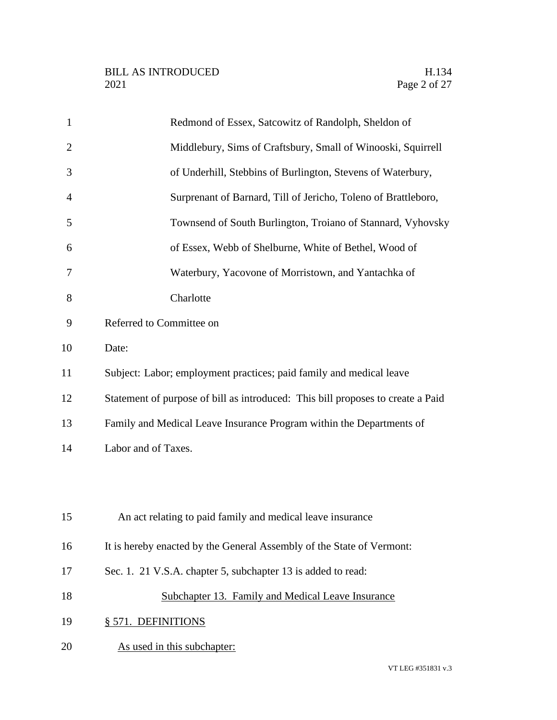| $\mathbf{1}$   | Redmond of Essex, Satcowitz of Randolph, Sheldon of                             |
|----------------|---------------------------------------------------------------------------------|
| $\overline{2}$ | Middlebury, Sims of Craftsbury, Small of Winooski, Squirrell                    |
| 3              | of Underhill, Stebbins of Burlington, Stevens of Waterbury,                     |
| $\overline{4}$ | Surprenant of Barnard, Till of Jericho, Toleno of Brattleboro,                  |
| 5              | Townsend of South Burlington, Troiano of Stannard, Vyhovsky                     |
| 6              | of Essex, Webb of Shelburne, White of Bethel, Wood of                           |
| 7              | Waterbury, Yacovone of Morristown, and Yantachka of                             |
| 8              | Charlotte                                                                       |
| 9              | Referred to Committee on                                                        |
| 10             | Date:                                                                           |
| 11             | Subject: Labor; employment practices; paid family and medical leave             |
| 12             | Statement of purpose of bill as introduced: This bill proposes to create a Paid |
| 13             | Family and Medical Leave Insurance Program within the Departments of            |
| 14             | Labor and of Taxes.                                                             |
|                |                                                                                 |
|                |                                                                                 |
| 15             | An act relating to paid family and medical leave insurance                      |
| 16             | It is hereby enacted by the General Assembly of the State of Vermont:           |
| 17             | Sec. 1. 21 V.S.A. chapter 5, subchapter 13 is added to read:                    |
| 18             | Subchapter 13. Family and Medical Leave Insurance                               |
| 19             | § 571. DEFINITIONS                                                              |
| 20             | As used in this subchapter:                                                     |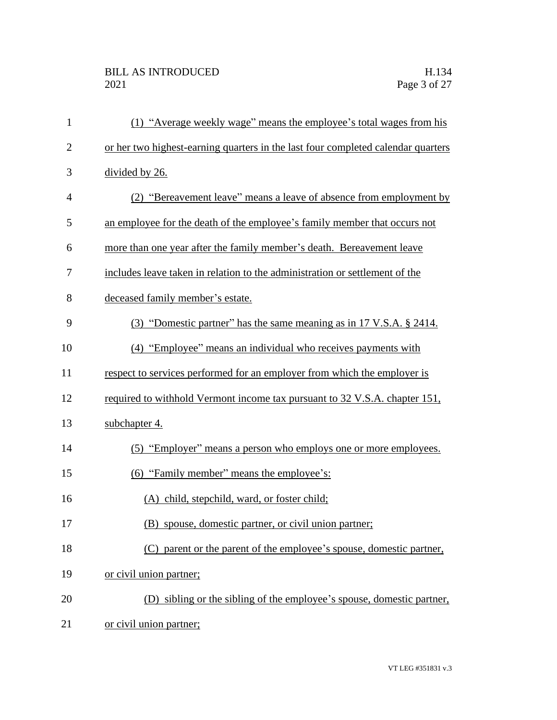| $\mathbf{1}$   | (1) "Average weekly wage" means the employee's total wages from his              |
|----------------|----------------------------------------------------------------------------------|
| $\overline{2}$ | or her two highest-earning quarters in the last four completed calendar quarters |
| 3              | divided by 26.                                                                   |
| 4              | (2) "Bereavement leave" means a leave of absence from employment by              |
| 5              | an employee for the death of the employee's family member that occurs not        |
| 6              | more than one year after the family member's death. Bereavement leave            |
| 7              | includes leave taken in relation to the administration or settlement of the      |
| 8              | deceased family member's estate.                                                 |
| 9              | (3) "Domestic partner" has the same meaning as in 17 V.S.A. § 2414.              |
| 10             | (4) "Employee" means an individual who receives payments with                    |
| 11             | respect to services performed for an employer from which the employer is         |
| 12             | required to withhold Vermont income tax pursuant to 32 V.S.A. chapter 151,       |
| 13             | subchapter 4.                                                                    |
| 14             | (5) "Employer" means a person who employs one or more employees.                 |
| 15             | (6) "Family member" means the employee's:                                        |
| 16             | (A) child, stepchild, ward, or foster child;                                     |
| 17             | (B) spouse, domestic partner, or civil union partner;                            |
| 18             | (C) parent or the parent of the employee's spouse, domestic partner,             |
| 19             | or civil union partner;                                                          |
| 20             | (D) sibling or the sibling of the employee's spouse, domestic partner,           |
| 21             | or civil union partner;                                                          |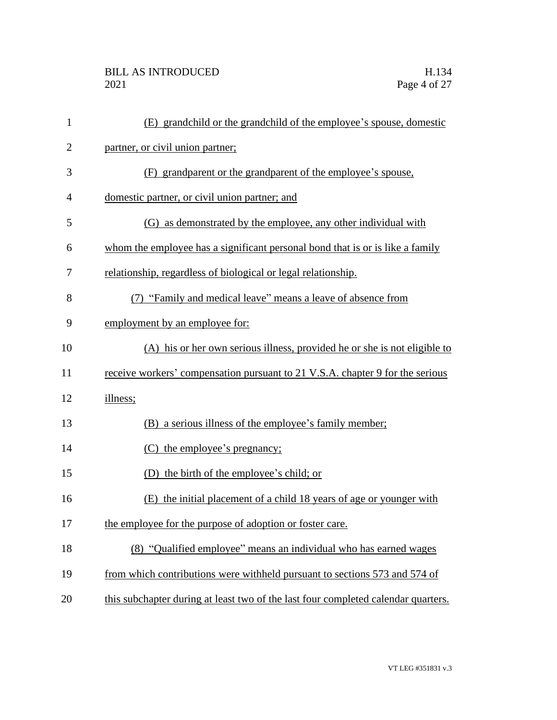| $\mathbf{1}$ | (E) grandchild or the grandchild of the employee's spouse, domestic               |
|--------------|-----------------------------------------------------------------------------------|
| $\mathbf{2}$ | partner, or civil union partner;                                                  |
| 3            | (F) grandparent or the grandparent of the employee's spouse,                      |
| 4            | domestic partner, or civil union partner; and                                     |
| 5            | (G) as demonstrated by the employee, any other individual with                    |
| 6            | whom the employee has a significant personal bond that is or is like a family     |
| 7            | relationship, regardless of biological or legal relationship.                     |
| 8            | "Family and medical leave" means a leave of absence from                          |
| 9            | employment by an employee for:                                                    |
| 10           | (A) his or her own serious illness, provided he or she is not eligible to         |
| 11           | receive workers' compensation pursuant to 21 V.S.A. chapter 9 for the serious     |
| 12           | illness;                                                                          |
| 13           | (B) a serious illness of the employee's family member;                            |
| 14           | the employee's pregnancy;<br>(C)                                                  |
| 15           | (D) the birth of the employee's child; or                                         |
| 16           | (E) the initial placement of a child 18 years of age or younger with              |
| 17           | the employee for the purpose of adoption or foster care.                          |
| 18           | (8) "Qualified employee" means an individual who has earned wages                 |
| 19           | from which contributions were withheld pursuant to sections 573 and 574 of        |
| 20           | this subchapter during at least two of the last four completed calendar quarters. |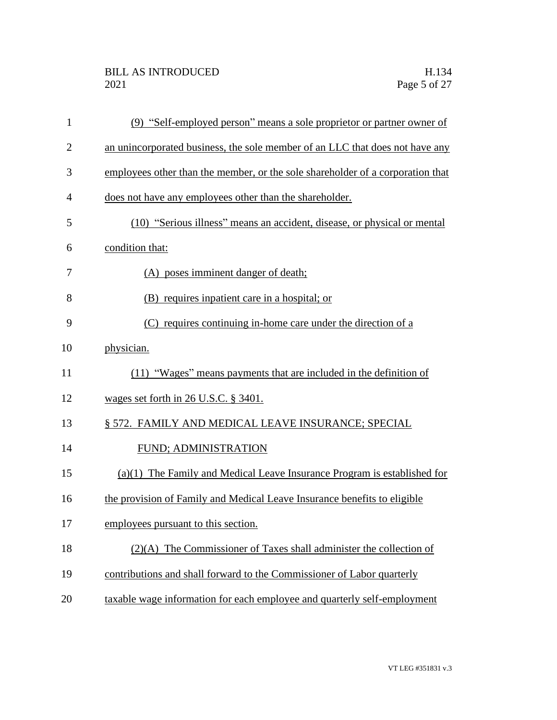| $\mathbf{1}$   | (9) "Self-employed person" means a sole proprietor or partner owner of         |
|----------------|--------------------------------------------------------------------------------|
| $\overline{2}$ | an unincorporated business, the sole member of an LLC that does not have any   |
| 3              | employees other than the member, or the sole shareholder of a corporation that |
| $\overline{4}$ | does not have any employees other than the shareholder.                        |
| 5              | (10) "Serious illness" means an accident, disease, or physical or mental       |
| 6              | condition that:                                                                |
| 7              | (A) poses imminent danger of death;                                            |
| 8              | (B) requires inpatient care in a hospital; or                                  |
| 9              | (C) requires continuing in-home care under the direction of a                  |
| 10             | physician.                                                                     |
| 11             | (11) "Wages" means payments that are included in the definition of             |
| 12             | wages set forth in 26 U.S.C. § 3401.                                           |
| 13             | § 572. FAMILY AND MEDICAL LEAVE INSURANCE; SPECIAL                             |
| 14             | FUND; ADMINISTRATION                                                           |
| 15             | $(a)(1)$ The Family and Medical Leave Insurance Program is established for     |
| 16             | the provision of Family and Medical Leave Insurance benefits to eligible       |
| 17             | employees pursuant to this section.                                            |
| 18             | $(2)(A)$ The Commissioner of Taxes shall administer the collection of          |
| 19             | contributions and shall forward to the Commissioner of Labor quarterly         |
| 20             | taxable wage information for each employee and quarterly self-employment       |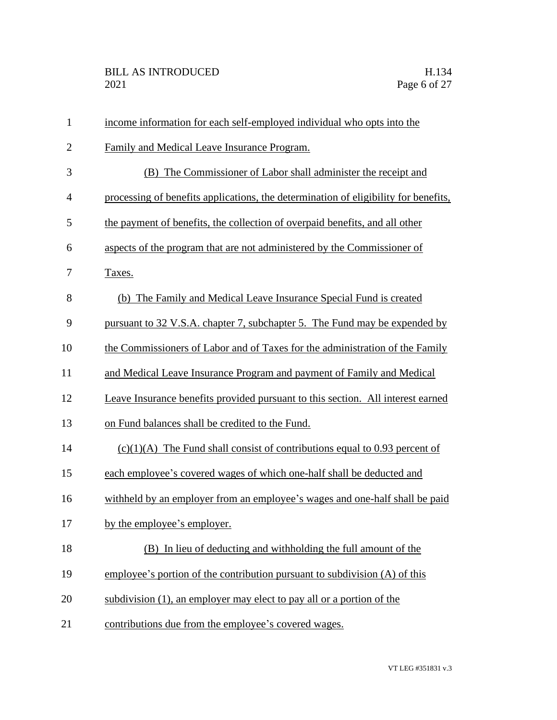| $\mathbf{1}$   | income information for each self-employed individual who opts into the              |
|----------------|-------------------------------------------------------------------------------------|
| $\overline{2}$ | Family and Medical Leave Insurance Program.                                         |
| 3              | (B) The Commissioner of Labor shall administer the receipt and                      |
| $\overline{4}$ | processing of benefits applications, the determination of eligibility for benefits, |
| 5              | the payment of benefits, the collection of overpaid benefits, and all other         |
| 6              | aspects of the program that are not administered by the Commissioner of             |
| 7              | Taxes.                                                                              |
| 8              | (b) The Family and Medical Leave Insurance Special Fund is created                  |
| 9              | pursuant to 32 V.S.A. chapter 7, subchapter 5. The Fund may be expended by          |
| 10             | the Commissioners of Labor and of Taxes for the administration of the Family        |
| 11             | and Medical Leave Insurance Program and payment of Family and Medical               |
| 12             | Leave Insurance benefits provided pursuant to this section. All interest earned     |
| 13             | on Fund balances shall be credited to the Fund.                                     |
| 14             | $(c)(1)(A)$ The Fund shall consist of contributions equal to 0.93 percent of        |
| 15             | each employee's covered wages of which one-half shall be deducted and               |
| 16             | withheld by an employer from an employee's wages and one-half shall be paid         |
| 17             | by the employee's employer.                                                         |
| 18             | (B) In lieu of deducting and withholding the full amount of the                     |
| 19             | employee's portion of the contribution pursuant to subdivision (A) of this          |
| 20             | subdivision (1), an employer may elect to pay all or a portion of the               |
| 21             | contributions due from the employee's covered wages.                                |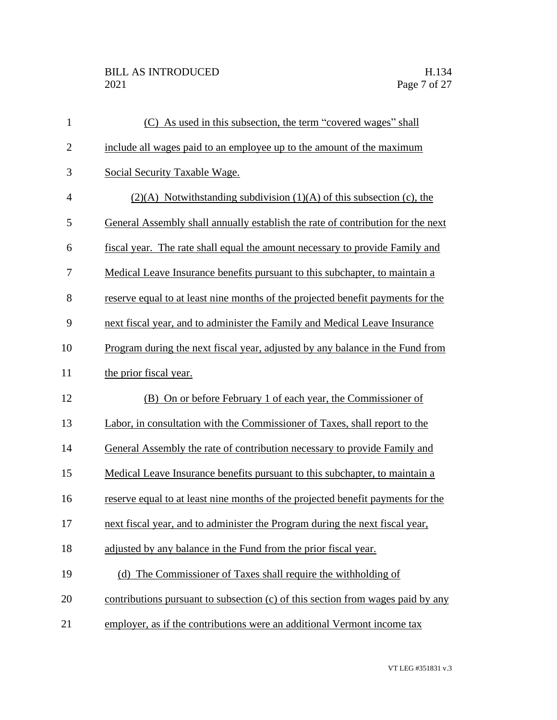## BILL AS INTRODUCED H.134<br>2021 Page 7 of 27

| (C) As used in this subsection, the term "covered wages" shall                  |
|---------------------------------------------------------------------------------|
| include all wages paid to an employee up to the amount of the maximum           |
| Social Security Taxable Wage.                                                   |
| $(2)(A)$ Notwithstanding subdivision $(1)(A)$ of this subsection (c), the       |
| General Assembly shall annually establish the rate of contribution for the next |
| fiscal year. The rate shall equal the amount necessary to provide Family and    |
| Medical Leave Insurance benefits pursuant to this subchapter, to maintain a     |
| reserve equal to at least nine months of the projected benefit payments for the |
| next fiscal year, and to administer the Family and Medical Leave Insurance      |
| Program during the next fiscal year, adjusted by any balance in the Fund from   |
| the prior fiscal year.                                                          |
| (B) On or before February 1 of each year, the Commissioner of                   |
| Labor, in consultation with the Commissioner of Taxes, shall report to the      |
|                                                                                 |
| General Assembly the rate of contribution necessary to provide Family and       |
| Medical Leave Insurance benefits pursuant to this subchapter, to maintain a     |
| reserve equal to at least nine months of the projected benefit payments for the |
| next fiscal year, and to administer the Program during the next fiscal year,    |
| adjusted by any balance in the Fund from the prior fiscal year.                 |
| (d) The Commissioner of Taxes shall require the withholding of                  |
| contributions pursuant to subsection (c) of this section from wages paid by any |
|                                                                                 |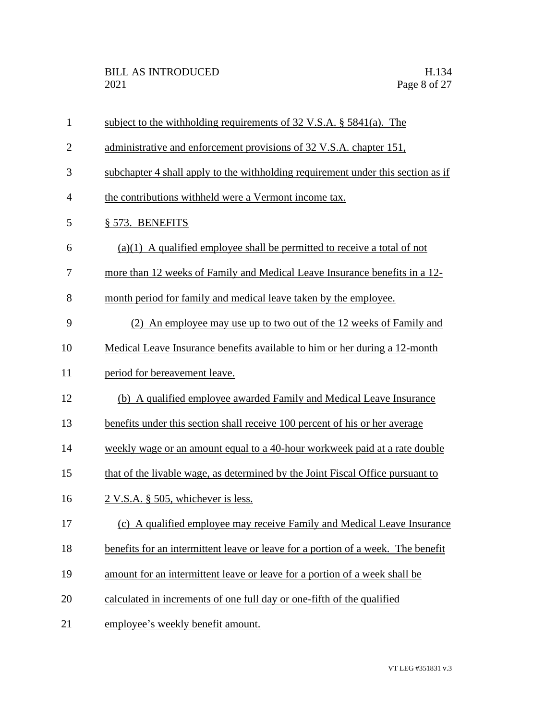| $\mathbf{1}$   | subject to the withholding requirements of $32 \text{ V.S.A.}$ \$5841(a). The    |
|----------------|----------------------------------------------------------------------------------|
| $\overline{2}$ | administrative and enforcement provisions of 32 V.S.A. chapter 151,              |
| 3              | subchapter 4 shall apply to the withholding requirement under this section as if |
| 4              | the contributions withheld were a Vermont income tax.                            |
| 5              | § 573. BENEFITS                                                                  |
| 6              | $(a)(1)$ A qualified employee shall be permitted to receive a total of not       |
| 7              | more than 12 weeks of Family and Medical Leave Insurance benefits in a 12-       |
| 8              | month period for family and medical leave taken by the employee.                 |
| 9              | (2) An employee may use up to two out of the 12 weeks of Family and              |
| 10             | Medical Leave Insurance benefits available to him or her during a 12-month       |
| 11             | period for bereavement leave.                                                    |
| 12             | (b) A qualified employee awarded Family and Medical Leave Insurance              |
| 13             | benefits under this section shall receive 100 percent of his or her average      |
| 14             | weekly wage or an amount equal to a 40-hour workweek paid at a rate double       |
| 15             | that of the livable wage, as determined by the Joint Fiscal Office pursuant to   |
| 16             | $2$ V.S.A. § 505, whichever is less.                                             |
| 17             | (c) A qualified employee may receive Family and Medical Leave Insurance          |
| 18             | benefits for an intermittent leave or leave for a portion of a week. The benefit |
| 19             | amount for an intermittent leave or leave for a portion of a week shall be       |
| 20             | calculated in increments of one full day or one-fifth of the qualified           |
| 21             | employee's weekly benefit amount.                                                |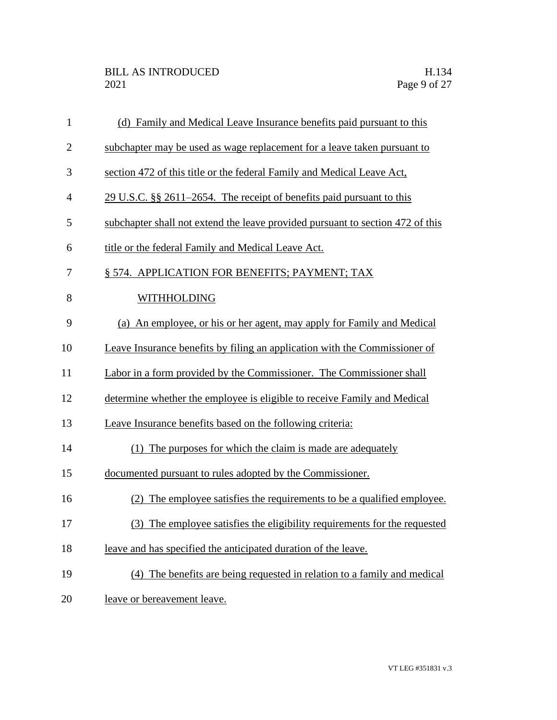| $\mathbf{1}$   | (d) Family and Medical Leave Insurance benefits paid pursuant to this          |
|----------------|--------------------------------------------------------------------------------|
| $\overline{2}$ | subchapter may be used as wage replacement for a leave taken pursuant to       |
| 3              | section 472 of this title or the federal Family and Medical Leave Act,         |
| $\overline{4}$ | $29$ U.S.C. §§ 2611–2654. The receipt of benefits paid pursuant to this        |
| 5              | subchapter shall not extend the leave provided pursuant to section 472 of this |
| 6              | title or the federal Family and Medical Leave Act.                             |
| 7              | § 574. APPLICATION FOR BENEFITS; PAYMENT; TAX                                  |
| 8              | <b>WITHHOLDING</b>                                                             |
| 9              | (a) An employee, or his or her agent, may apply for Family and Medical         |
| 10             | Leave Insurance benefits by filing an application with the Commissioner of     |
| 11             | Labor in a form provided by the Commissioner. The Commissioner shall           |
| 12             | determine whether the employee is eligible to receive Family and Medical       |
| 13             | Leave Insurance benefits based on the following criteria:                      |
| 14             | (1) The purposes for which the claim is made are adequately                    |
| 15             | documented pursuant to rules adopted by the Commissioner.                      |
| 16             | The employee satisfies the requirements to be a qualified employee.            |
| 17             | (3) The employee satisfies the eligibility requirements for the requested      |
| 18             | leave and has specified the anticipated duration of the leave.                 |
| 19             | The benefits are being requested in relation to a family and medical<br>(4)    |
| 20             | leave or bereavement leave.                                                    |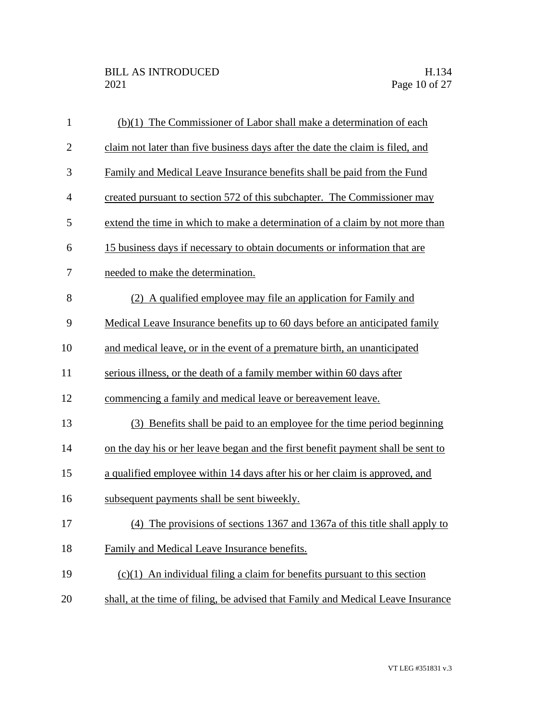| $\mathbf{1}$   | (b)(1) The Commissioner of Labor shall make a determination of each              |
|----------------|----------------------------------------------------------------------------------|
| $\overline{2}$ | claim not later than five business days after the date the claim is filed, and   |
| 3              | Family and Medical Leave Insurance benefits shall be paid from the Fund          |
| $\overline{4}$ | created pursuant to section 572 of this subchapter. The Commissioner may         |
| 5              | extend the time in which to make a determination of a claim by not more than     |
| 6              | 15 business days if necessary to obtain documents or information that are        |
| 7              | needed to make the determination.                                                |
| 8              | (2) A qualified employee may file an application for Family and                  |
| 9              | Medical Leave Insurance benefits up to 60 days before an anticipated family      |
| 10             | and medical leave, or in the event of a premature birth, an unanticipated        |
| 11             | serious illness, or the death of a family member within 60 days after            |
| 12             | commencing a family and medical leave or bereavement leave.                      |
| 13             | (3) Benefits shall be paid to an employee for the time period beginning          |
| 14             | on the day his or her leave began and the first benefit payment shall be sent to |
| 15             | a qualified employee within 14 days after his or her claim is approved, and      |
| 16             | subsequent payments shall be sent biweekly.                                      |
| 17             | (4) The provisions of sections 1367 and 1367a of this title shall apply to       |
| 18             | Family and Medical Leave Insurance benefits.                                     |
| 19             | $(c)(1)$ An individual filing a claim for benefits pursuant to this section      |
| 20             | shall, at the time of filing, be advised that Family and Medical Leave Insurance |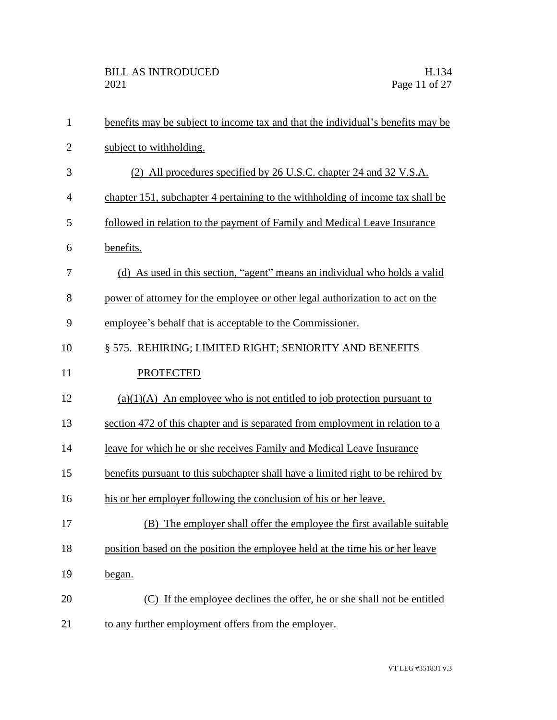| $\mathbf{1}$   | benefits may be subject to income tax and that the individual's benefits may be  |
|----------------|----------------------------------------------------------------------------------|
| $\overline{2}$ | subject to withholding.                                                          |
| 3              | (2) All procedures specified by 26 U.S.C. chapter 24 and 32 V.S.A.               |
| $\overline{4}$ | chapter 151, subchapter 4 pertaining to the withholding of income tax shall be   |
| 5              | followed in relation to the payment of Family and Medical Leave Insurance        |
| 6              | benefits.                                                                        |
| 7              | (d) As used in this section, "agent" means an individual who holds a valid       |
| 8              | power of attorney for the employee or other legal authorization to act on the    |
| 9              | employee's behalf that is acceptable to the Commissioner.                        |
| 10             | § 575. REHIRING; LIMITED RIGHT; SENIORITY AND BENEFITS                           |
| 11             | <b>PROTECTED</b>                                                                 |
| 12             | $(a)(1)(A)$ An employee who is not entitled to job protection pursuant to        |
| 13             | section 472 of this chapter and is separated from employment in relation to a    |
| 14             | leave for which he or she receives Family and Medical Leave Insurance            |
| 15             | benefits pursuant to this subchapter shall have a limited right to be rehired by |
| 16             | his or her employer following the conclusion of his or her leave.                |
| 17             | (B) The employer shall offer the employee the first available suitable           |
| 18             | position based on the position the employee held at the time his or her leave    |
| 19             | began.                                                                           |
| 20             | (C) If the employee declines the offer, he or she shall not be entitled          |
| 21             | to any further employment offers from the employer.                              |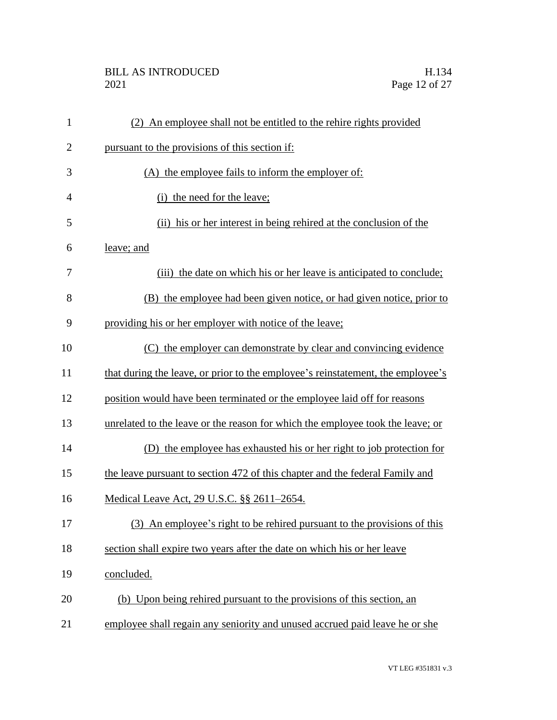## BILL AS INTRODUCED H.134<br>2021 Page 12 of 27

| $\mathbf{1}$   | (2) An employee shall not be entitled to the rehire rights provided             |
|----------------|---------------------------------------------------------------------------------|
| $\overline{2}$ | pursuant to the provisions of this section if:                                  |
| 3              | (A) the employee fails to inform the employer of:                               |
| $\overline{4}$ | (i) the need for the leave;                                                     |
| 5              | (ii) his or her interest in being rehired at the conclusion of the              |
| 6              | leave; and                                                                      |
| 7              | (iii) the date on which his or her leave is anticipated to conclude;            |
| 8              | (B) the employee had been given notice, or had given notice, prior to           |
| 9              | providing his or her employer with notice of the leave;                         |
| 10             | (C) the employer can demonstrate by clear and convincing evidence               |
| 11             | that during the leave, or prior to the employee's reinstatement, the employee's |
| 12             | position would have been terminated or the employee laid off for reasons        |
| 13             | unrelated to the leave or the reason for which the employee took the leave; or  |
| 14             | (D) the employee has exhausted his or her right to job protection for           |
| 15             | the leave pursuant to section 472 of this chapter and the federal Family and    |
| 16             | Medical Leave Act, 29 U.S.C. §§ 2611–2654.                                      |
| 17             | (3) An employee's right to be rehired pursuant to the provisions of this        |
| 18             | section shall expire two years after the date on which his or her leave         |
| 19             | concluded.                                                                      |
| 20             | (b) Upon being rehired pursuant to the provisions of this section, an           |
| 21             | employee shall regain any seniority and unused accrued paid leave he or she     |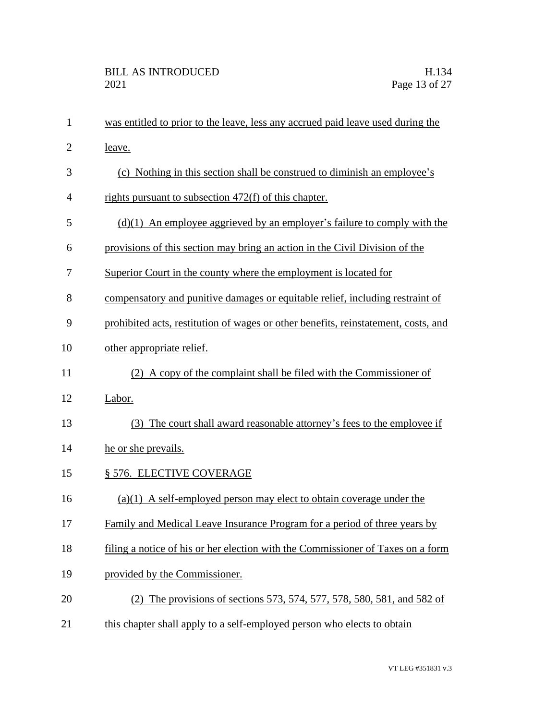| $\mathbf{1}$   | was entitled to prior to the leave, less any accrued paid leave used during the    |
|----------------|------------------------------------------------------------------------------------|
| $\overline{2}$ | leave.                                                                             |
| 3              | (c) Nothing in this section shall be construed to diminish an employee's           |
| 4              | rights pursuant to subsection 472(f) of this chapter.                              |
| 5              | $(d)(1)$ An employee aggrieved by an employer's failure to comply with the         |
| 6              | provisions of this section may bring an action in the Civil Division of the        |
| 7              | Superior Court in the county where the employment is located for                   |
| 8              | compensatory and punitive damages or equitable relief, including restraint of      |
| 9              | prohibited acts, restitution of wages or other benefits, reinstatement, costs, and |
| 10             | other appropriate relief.                                                          |
| 11             | (2) A copy of the complaint shall be filed with the Commissioner of                |
| 12             | Labor.                                                                             |
| 13             | (3) The court shall award reasonable attorney's fees to the employee if            |
| 14             | he or she prevails.                                                                |
| 15             | § 576. ELECTIVE COVERAGE                                                           |
| 16             | $(a)(1)$ A self-employed person may elect to obtain coverage under the             |
| 17             | Family and Medical Leave Insurance Program for a period of three years by          |
| 18             | filing a notice of his or her election with the Commissioner of Taxes on a form    |
| 19             | provided by the Commissioner.                                                      |
| 20             | (2) The provisions of sections 573, 574, 577, 578, 580, 581, and 582 of            |
| 21             | this chapter shall apply to a self-employed person who elects to obtain            |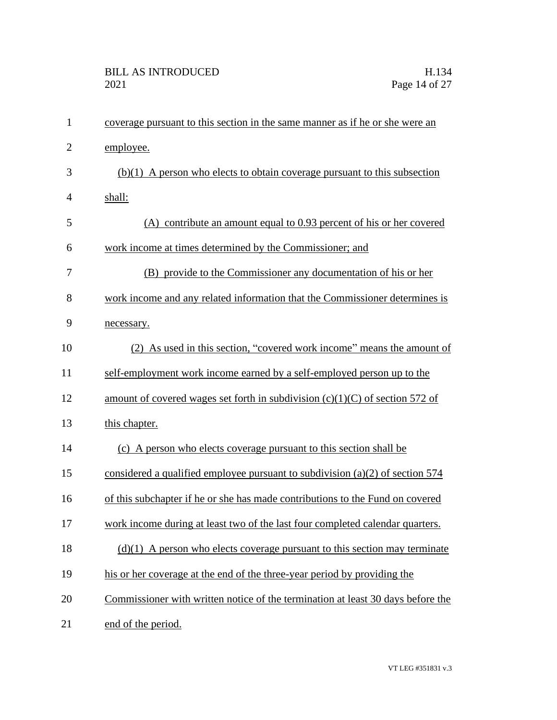| $\mathbf{1}$   | coverage pursuant to this section in the same manner as if he or she were an    |
|----------------|---------------------------------------------------------------------------------|
| $\overline{2}$ | employee.                                                                       |
| 3              | $(b)(1)$ A person who elects to obtain coverage pursuant to this subsection     |
| $\overline{4}$ | shall:                                                                          |
| 5              | (A) contribute an amount equal to 0.93 percent of his or her covered            |
| 6              | work income at times determined by the Commissioner; and                        |
| 7              | (B) provide to the Commissioner any documentation of his or her                 |
| 8              | work income and any related information that the Commissioner determines is     |
| 9              | necessary.                                                                      |
| 10             | (2) As used in this section, "covered work income" means the amount of          |
| 11             | self-employment work income earned by a self-employed person up to the          |
| 12             | amount of covered wages set forth in subdivision $(c)(1)(C)$ of section 572 of  |
| 13             | this chapter.                                                                   |
| 14             | (c) A person who elects coverage pursuant to this section shall be              |
| 15             | considered a qualified employee pursuant to subdivision (a)(2) of section $574$ |
| 16             | of this subchapter if he or she has made contributions to the Fund on covered   |
| 17             | work income during at least two of the last four completed calendar quarters.   |
| 18             | $(d)(1)$ A person who elects coverage pursuant to this section may terminate    |
| 19             | his or her coverage at the end of the three-year period by providing the        |
| 20             | Commissioner with written notice of the termination at least 30 days before the |
| 21             | end of the period.                                                              |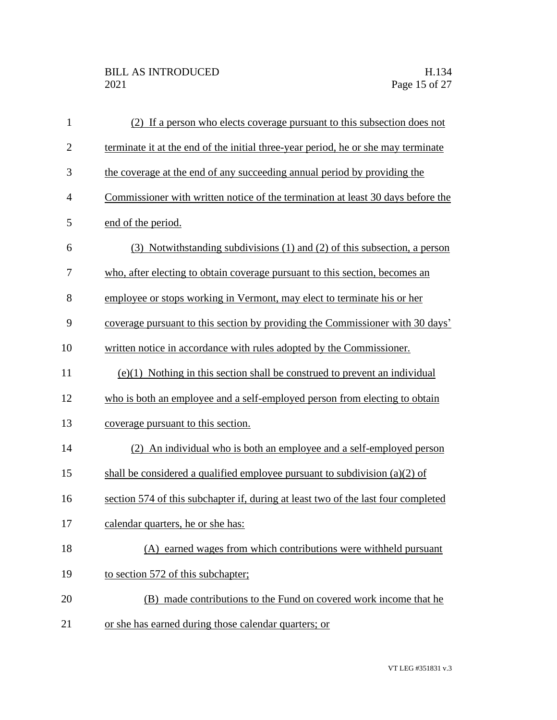| $\mathbf{1}$   | (2) If a person who elects coverage pursuant to this subsection does not          |
|----------------|-----------------------------------------------------------------------------------|
| $\overline{2}$ | terminate it at the end of the initial three-year period, he or she may terminate |
| 3              | the coverage at the end of any succeeding annual period by providing the          |
| $\overline{4}$ | Commissioner with written notice of the termination at least 30 days before the   |
| 5              | end of the period.                                                                |
| 6              | (3) Notwithstanding subdivisions (1) and (2) of this subsection, a person         |
| 7              | who, after electing to obtain coverage pursuant to this section, becomes an       |
| 8              | employee or stops working in Vermont, may elect to terminate his or her           |
| 9              | coverage pursuant to this section by providing the Commissioner with 30 days'     |
| 10             | written notice in accordance with rules adopted by the Commissioner.              |
| 11             | $(e)(1)$ Nothing in this section shall be construed to prevent an individual      |
| 12             | who is both an employee and a self-employed person from electing to obtain        |
| 13             | coverage pursuant to this section.                                                |
| 14             | (2) An individual who is both an employee and a self-employed person              |
| 15             | shall be considered a qualified employee pursuant to subdivision $(a)(2)$ of      |
| 16             | section 574 of this subchapter if, during at least two of the last four completed |
| 17             | calendar quarters, he or she has:                                                 |
| 18             | (A) earned wages from which contributions were withheld pursuant                  |
| 19             | to section 572 of this subchapter;                                                |
| 20             | (B) made contributions to the Fund on covered work income that he                 |
| 21             | or she has earned during those calendar quarters; or                              |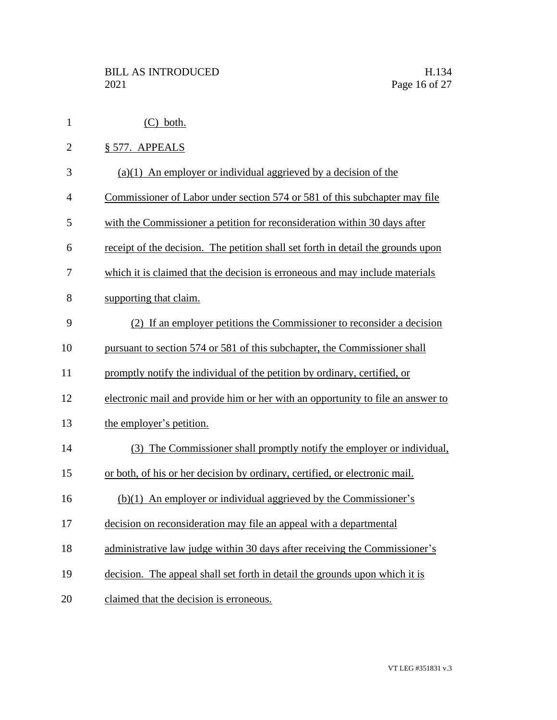| $\mathbf{1}$   | $(C)$ both.                                                                      |
|----------------|----------------------------------------------------------------------------------|
| $\overline{c}$ | § 577. APPEALS                                                                   |
| 3              | $(a)(1)$ An employer or individual aggrieved by a decision of the                |
| 4              | Commissioner of Labor under section 574 or 581 of this subchapter may file       |
| 5              | with the Commissioner a petition for reconsideration within 30 days after        |
| 6              | receipt of the decision. The petition shall set forth in detail the grounds upon |
| 7              | which it is claimed that the decision is erroneous and may include materials     |
| 8              | supporting that claim.                                                           |
| 9              | (2) If an employer petitions the Commissioner to reconsider a decision           |
| 10             | pursuant to section 574 or 581 of this subchapter, the Commissioner shall        |
| 11             | promptly notify the individual of the petition by ordinary, certified, or        |
| 12             | electronic mail and provide him or her with an opportunity to file an answer to  |
| 13             | the employer's petition.                                                         |
| 14             | (3) The Commissioner shall promptly notify the employer or individual,           |
| 15             | or both, of his or her decision by ordinary, certified, or electronic mail.      |
| 16             | $(b)(1)$ An employer or individual aggrieved by the Commissioner's               |
| 17             | decision on reconsideration may file an appeal with a departmental               |
| 18             | administrative law judge within 30 days after receiving the Commissioner's       |
| 19             | decision. The appeal shall set forth in detail the grounds upon which it is      |
| 20             | claimed that the decision is erroneous.                                          |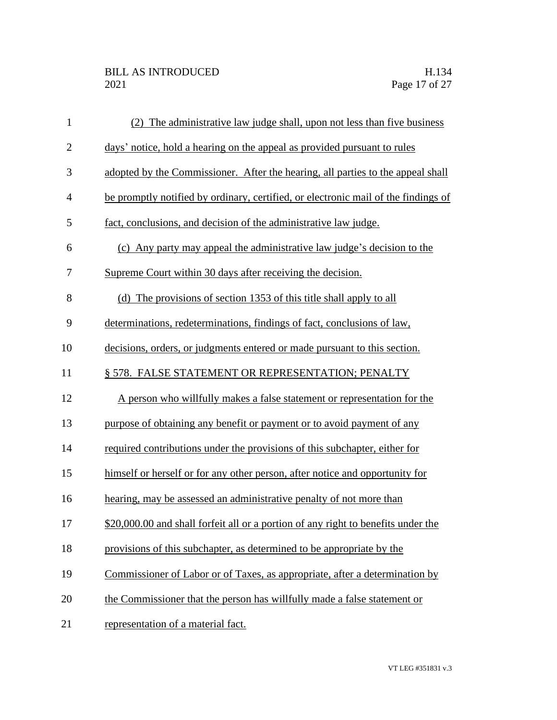| $\mathbf{1}$   | (2) The administrative law judge shall, upon not less than five business           |
|----------------|------------------------------------------------------------------------------------|
| $\mathbf{2}$   | days' notice, hold a hearing on the appeal as provided pursuant to rules           |
| 3              | adopted by the Commissioner. After the hearing, all parties to the appeal shall    |
| $\overline{4}$ | be promptly notified by ordinary, certified, or electronic mail of the findings of |
| 5              | fact, conclusions, and decision of the administrative law judge.                   |
| 6              | (c) Any party may appeal the administrative law judge's decision to the            |
| 7              | Supreme Court within 30 days after receiving the decision.                         |
| 8              | (d) The provisions of section 1353 of this title shall apply to all                |
| 9              | determinations, redeterminations, findings of fact, conclusions of law,            |
| 10             | decisions, orders, or judgments entered or made pursuant to this section.          |
| 11             | § 578. FALSE STATEMENT OR REPRESENTATION; PENALTY                                  |
| 12             | A person who willfully makes a false statement or representation for the           |
| 13             | purpose of obtaining any benefit or payment or to avoid payment of any             |
| 14             | required contributions under the provisions of this subchapter, either for         |
| 15             | himself or herself or for any other person, after notice and opportunity for       |
| 16             | hearing, may be assessed an administrative penalty of not more than                |
| 17             | \$20,000.00 and shall forfeit all or a portion of any right to benefits under the  |
| 18             | provisions of this subchapter, as determined to be appropriate by the              |
| 19             | Commissioner of Labor or of Taxes, as appropriate, after a determination by        |
| 20             | the Commissioner that the person has willfully made a false statement or           |
| 21             | representation of a material fact.                                                 |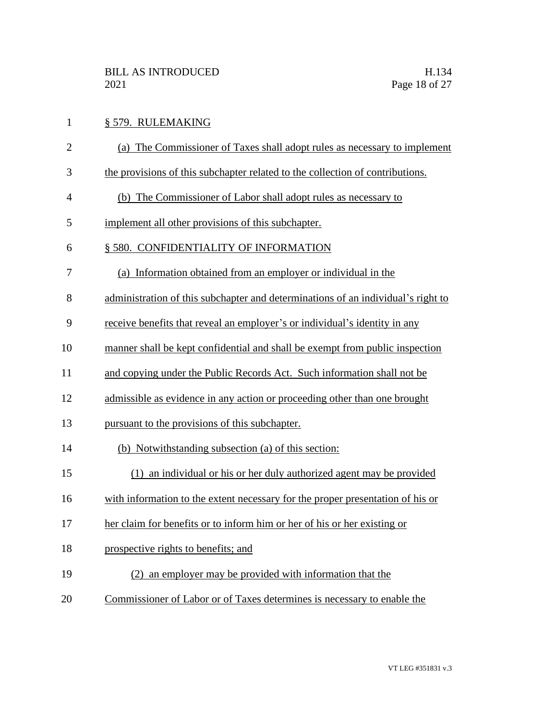| $\mathbf{1}$   | § 579. RULEMAKING                                                                |
|----------------|----------------------------------------------------------------------------------|
| $\overline{2}$ | (a) The Commissioner of Taxes shall adopt rules as necessary to implement        |
| 3              | the provisions of this subchapter related to the collection of contributions.    |
| $\overline{4}$ | (b) The Commissioner of Labor shall adopt rules as necessary to                  |
| 5              | implement all other provisions of this subchapter.                               |
| 6              | § 580. CONFIDENTIALITY OF INFORMATION                                            |
| 7              | (a) Information obtained from an employer or individual in the                   |
| 8              | administration of this subchapter and determinations of an individual's right to |
| 9              | receive benefits that reveal an employer's or individual's identity in any       |
| 10             | manner shall be kept confidential and shall be exempt from public inspection     |
| 11             | and copying under the Public Records Act. Such information shall not be          |
| 12             | admissible as evidence in any action or proceeding other than one brought        |
| 13             | pursuant to the provisions of this subchapter.                                   |
| 14             | (b) Notwithstanding subsection (a) of this section:                              |
| 15             | an individual or his or her duly authorized agent may be provided                |
| 16             | with information to the extent necessary for the proper presentation of his or   |
| 17             | her claim for benefits or to inform him or her of his or her existing or         |
| 18             | prospective rights to benefits; and                                              |
| 19             | (2) an employer may be provided with information that the                        |
| 20             | Commissioner of Labor or of Taxes determines is necessary to enable the          |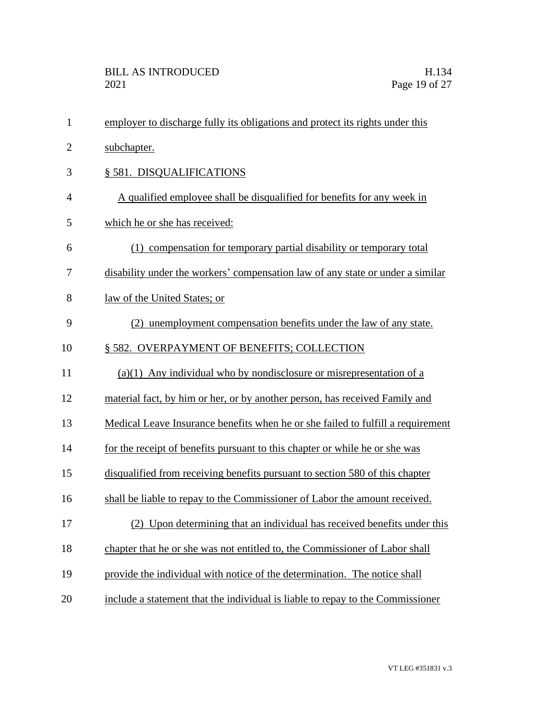| $\mathbf{1}$   | employer to discharge fully its obligations and protect its rights under this   |
|----------------|---------------------------------------------------------------------------------|
| $\overline{2}$ | subchapter.                                                                     |
| 3              | § 581. DISQUALIFICATIONS                                                        |
| 4              | A qualified employee shall be disqualified for benefits for any week in         |
| 5              | which he or she has received:                                                   |
| 6              | (1) compensation for temporary partial disability or temporary total            |
| 7              | disability under the workers' compensation law of any state or under a similar  |
| 8              | law of the United States; or                                                    |
| 9              | (2) unemployment compensation benefits under the law of any state.              |
| 10             | § 582. OVERPAYMENT OF BENEFITS; COLLECTION                                      |
| 11             | $(a)(1)$ Any individual who by nondisclosure or misrepresentation of a          |
| 12             | material fact, by him or her, or by another person, has received Family and     |
| 13             | Medical Leave Insurance benefits when he or she failed to fulfill a requirement |
| 14             | for the receipt of benefits pursuant to this chapter or while he or she was     |
| 15             | disqualified from receiving benefits pursuant to section 580 of this chapter    |
| 16             | shall be liable to repay to the Commissioner of Labor the amount received.      |
| 17             | (2)<br>Upon determining that an individual has received benefits under this     |
| 18             | chapter that he or she was not entitled to, the Commissioner of Labor shall     |
| 19             | provide the individual with notice of the determination. The notice shall       |
| 20             | include a statement that the individual is liable to repay to the Commissioner  |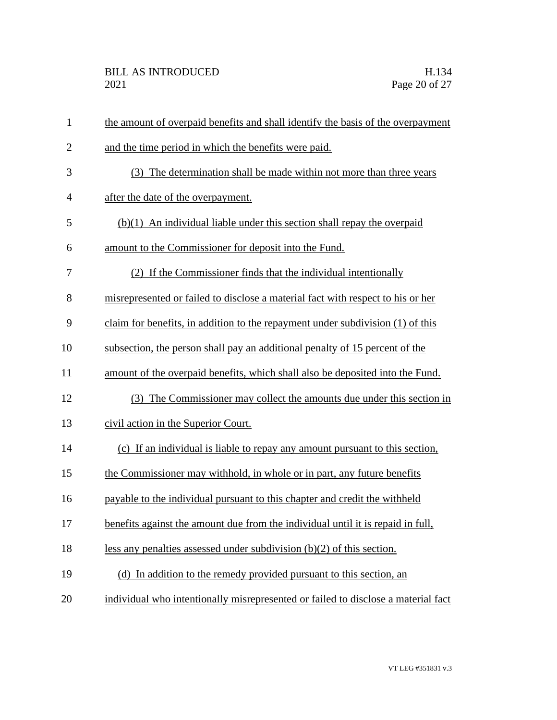| $\mathbf{1}$   | the amount of overpaid benefits and shall identify the basis of the overpayment   |
|----------------|-----------------------------------------------------------------------------------|
| $\overline{2}$ | and the time period in which the benefits were paid.                              |
| 3              | (3) The determination shall be made within not more than three years              |
| $\overline{4}$ | after the date of the overpayment.                                                |
| 5              | $(b)(1)$ An individual liable under this section shall repay the overpaid         |
| 6              | amount to the Commissioner for deposit into the Fund.                             |
| 7              | (2) If the Commissioner finds that the individual intentionally                   |
| 8              | misrepresented or failed to disclose a material fact with respect to his or her   |
| 9              | claim for benefits, in addition to the repayment under subdivision (1) of this    |
| 10             | subsection, the person shall pay an additional penalty of 15 percent of the       |
| 11             | amount of the overpaid benefits, which shall also be deposited into the Fund.     |
| 12             | (3) The Commissioner may collect the amounts due under this section in            |
| 13             | civil action in the Superior Court.                                               |
| 14             | (c) If an individual is liable to repay any amount pursuant to this section,      |
| 15             | the Commissioner may withhold, in whole or in part, any future benefits           |
| 16             | payable to the individual pursuant to this chapter and credit the withheld        |
| 17             | benefits against the amount due from the individual until it is repaid in full,   |
| 18             | less any penalties assessed under subdivision $(b)(2)$ of this section.           |
| 19             | (d) In addition to the remedy provided pursuant to this section, an               |
| 20             | individual who intentionally misrepresented or failed to disclose a material fact |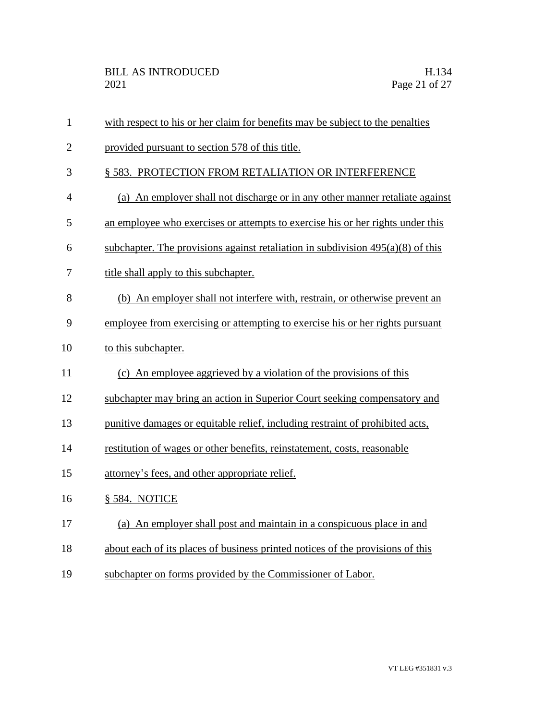| $\mathbf{1}$   | with respect to his or her claim for benefits may be subject to the penalties     |
|----------------|-----------------------------------------------------------------------------------|
| $\overline{2}$ | provided pursuant to section 578 of this title.                                   |
| 3              | § 583. PROTECTION FROM RETALIATION OR INTERFERENCE                                |
| $\overline{4}$ | (a) An employer shall not discharge or in any other manner retaliate against      |
| 5              | an employee who exercises or attempts to exercise his or her rights under this    |
| 6              | subchapter. The provisions against retaliation in subdivision $495(a)(8)$ of this |
| 7              | title shall apply to this subchapter.                                             |
| 8              | (b) An employer shall not interfere with, restrain, or otherwise prevent an       |
| 9              | employee from exercising or attempting to exercise his or her rights pursuant     |
| 10             | to this subchapter.                                                               |
| 11             | (c) An employee aggrieved by a violation of the provisions of this                |
| 12             | subchapter may bring an action in Superior Court seeking compensatory and         |
| 13             | punitive damages or equitable relief, including restraint of prohibited acts,     |
| 14             | restitution of wages or other benefits, reinstatement, costs, reasonable          |
| 15             | attorney's fees, and other appropriate relief.                                    |
| 16             | § 584. NOTICE                                                                     |
| 17             | (a) An employer shall post and maintain in a conspicuous place in and             |
| 18             | about each of its places of business printed notices of the provisions of this    |
| 19             | subchapter on forms provided by the Commissioner of Labor.                        |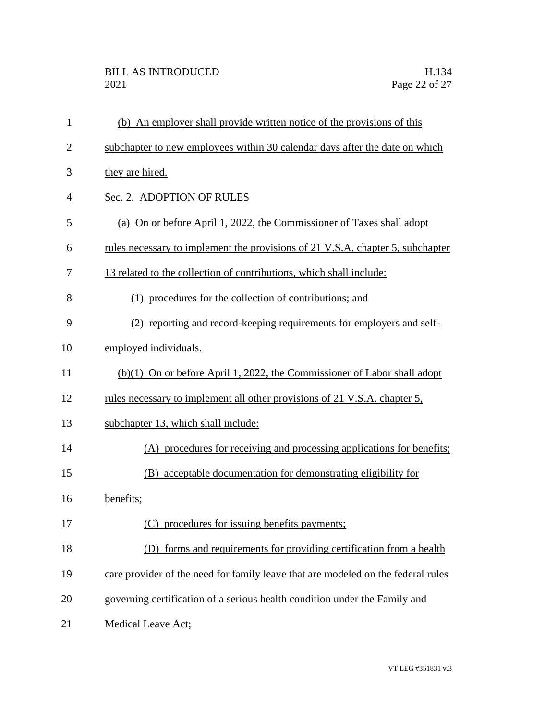| $\mathbf{1}$   | (b) An employer shall provide written notice of the provisions of this           |
|----------------|----------------------------------------------------------------------------------|
| $\overline{2}$ | subchapter to new employees within 30 calendar days after the date on which      |
| 3              | they are hired.                                                                  |
| $\overline{4}$ | Sec. 2. ADOPTION OF RULES                                                        |
| 5              | (a) On or before April 1, 2022, the Commissioner of Taxes shall adopt            |
| 6              | rules necessary to implement the provisions of 21 V.S.A. chapter 5, subchapter   |
| 7              | 13 related to the collection of contributions, which shall include:              |
| 8              | (1) procedures for the collection of contributions; and                          |
| 9              | (2) reporting and record-keeping requirements for employers and self-            |
| 10             | employed individuals.                                                            |
| 11             | (b)(1) On or before April 1, 2022, the Commissioner of Labor shall adopt         |
| 12             | rules necessary to implement all other provisions of 21 V.S.A. chapter 5,        |
| 13             | subchapter 13, which shall include:                                              |
| 14             | (A) procedures for receiving and processing applications for benefits;           |
| 15             | acceptable documentation for demonstrating eligibility for<br>(B)                |
| 16             | benefits;                                                                        |
| 17             | (C) procedures for issuing benefits payments;                                    |
| 18             | (D) forms and requirements for providing certification from a health             |
| 19             | care provider of the need for family leave that are modeled on the federal rules |
| 20             | governing certification of a serious health condition under the Family and       |
| 21             | <b>Medical Leave Act;</b>                                                        |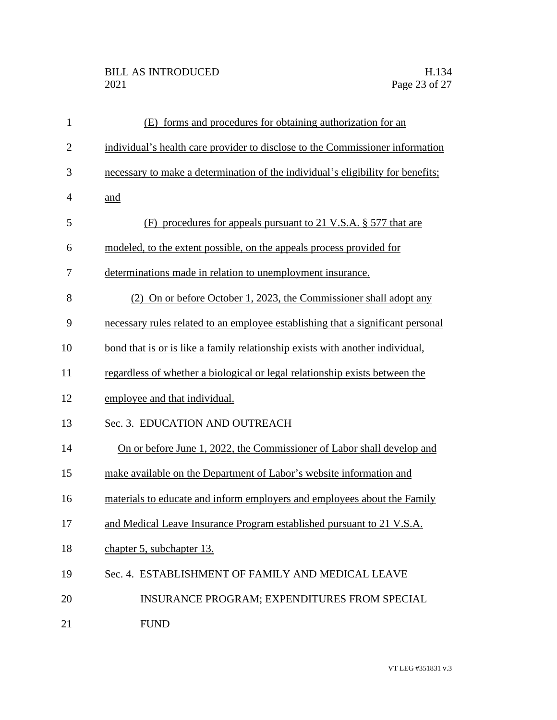## BILL AS INTRODUCED H.134<br>2021 Page 23 of 27

| $\mathbf{1}$   | (E) forms and procedures for obtaining authorization for an                     |
|----------------|---------------------------------------------------------------------------------|
| $\overline{2}$ | individual's health care provider to disclose to the Commissioner information   |
| 3              | necessary to make a determination of the individual's eligibility for benefits; |
| 4              | and                                                                             |
| 5              | procedures for appeals pursuant to 21 V.S.A. § 577 that are<br>(F)              |
| 6              | modeled, to the extent possible, on the appeals process provided for            |
| 7              | determinations made in relation to unemployment insurance.                      |
| 8              | (2) On or before October 1, 2023, the Commissioner shall adopt any              |
| 9              | necessary rules related to an employee establishing that a significant personal |
| 10             | bond that is or is like a family relationship exists with another individual,   |
| 11             | regardless of whether a biological or legal relationship exists between the     |
| 12             | employee and that individual.                                                   |
| 13             | Sec. 3. EDUCATION AND OUTREACH                                                  |
| 14             | On or before June 1, 2022, the Commissioner of Labor shall develop and          |
| 15             | make available on the Department of Labor's website information and             |
| 16             | materials to educate and inform employers and employees about the Family        |
| 17             | and Medical Leave Insurance Program established pursuant to 21 V.S.A.           |
| 18             | chapter 5, subchapter 13.                                                       |
| 19             | Sec. 4. ESTABLISHMENT OF FAMILY AND MEDICAL LEAVE                               |
| 20             | <b>INSURANCE PROGRAM; EXPENDITURES FROM SPECIAL</b>                             |
| 21             | <b>FUND</b>                                                                     |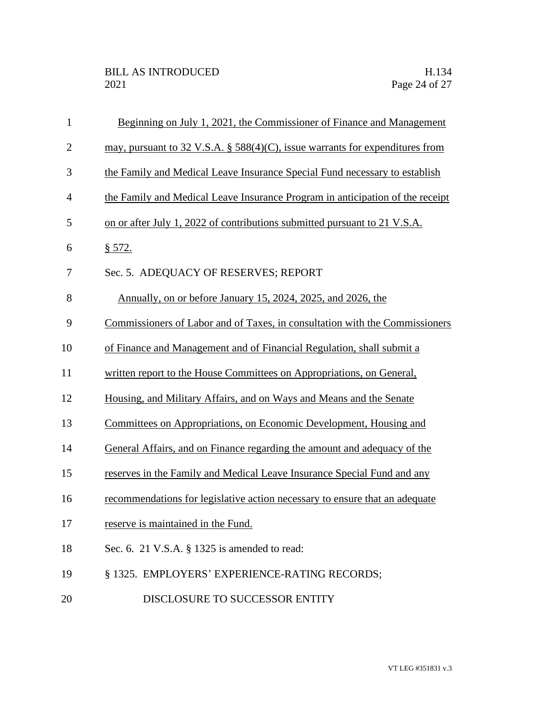| $\mathbf{1}$   | Beginning on July 1, 2021, the Commissioner of Finance and Management         |
|----------------|-------------------------------------------------------------------------------|
| $\overline{2}$ | may, pursuant to 32 V.S.A. § 588(4)(C), issue warrants for expenditures from  |
| 3              | the Family and Medical Leave Insurance Special Fund necessary to establish    |
| $\overline{4}$ | the Family and Medical Leave Insurance Program in anticipation of the receipt |
| 5              | on or after July 1, 2022 of contributions submitted pursuant to 21 V.S.A.     |
| 6              | \$572.                                                                        |
| 7              | Sec. 5. ADEQUACY OF RESERVES; REPORT                                          |
| 8              | Annually, on or before January 15, 2024, 2025, and 2026, the                  |
| 9              | Commissioners of Labor and of Taxes, in consultation with the Commissioners   |
| 10             | of Finance and Management and of Financial Regulation, shall submit a         |
| 11             | written report to the House Committees on Appropriations, on General,         |
| 12             | Housing, and Military Affairs, and on Ways and Means and the Senate           |
| 13             | Committees on Appropriations, on Economic Development, Housing and            |
| 14             | General Affairs, and on Finance regarding the amount and adequacy of the      |
| 15             | reserves in the Family and Medical Leave Insurance Special Fund and any       |
| 16             | recommendations for legislative action necessary to ensure that an adequate   |
| 17             | reserve is maintained in the Fund.                                            |
| 18             | Sec. 6. 21 V.S.A. § 1325 is amended to read:                                  |
| 19             | § 1325. EMPLOYERS' EXPERIENCE-RATING RECORDS;                                 |
| 20             | DISCLOSURE TO SUCCESSOR ENTITY                                                |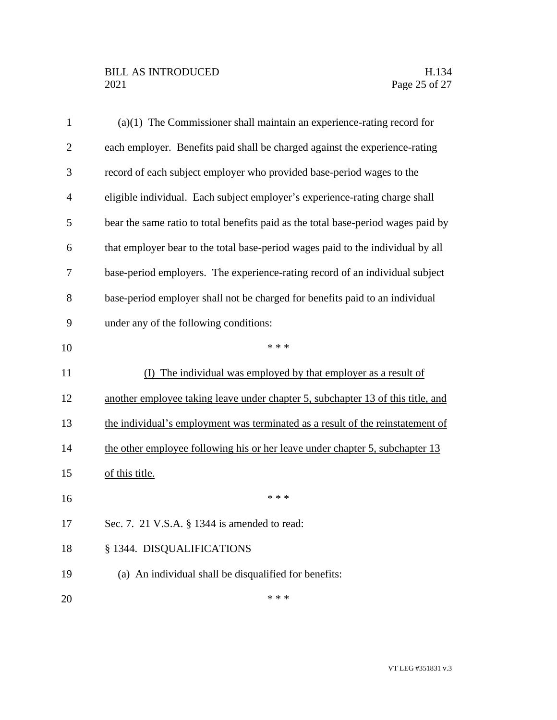| $\mathbf{1}$ | $(a)(1)$ The Commissioner shall maintain an experience-rating record for          |
|--------------|-----------------------------------------------------------------------------------|
| $\mathbf{2}$ | each employer. Benefits paid shall be charged against the experience-rating       |
| 3            | record of each subject employer who provided base-period wages to the             |
| 4            | eligible individual. Each subject employer's experience-rating charge shall       |
| 5            | bear the same ratio to total benefits paid as the total base-period wages paid by |
| 6            | that employer bear to the total base-period wages paid to the individual by all   |
| 7            | base-period employers. The experience-rating record of an individual subject      |
| 8            | base-period employer shall not be charged for benefits paid to an individual      |
| 9            | under any of the following conditions:                                            |
| 10           | * * *                                                                             |
| 11           | (I) The individual was employed by that employer as a result of                   |
| 12           | another employee taking leave under chapter 5, subchapter 13 of this title, and   |
| 13           | the individual's employment was terminated as a result of the reinstatement of    |
| 14           | the other employee following his or her leave under chapter 5, subchapter 13      |
| 15           | of this title.                                                                    |
| 16           | * * *                                                                             |
| 17           | Sec. 7. 21 V.S.A. § 1344 is amended to read:                                      |
| 18           | § 1344. DISQUALIFICATIONS                                                         |
| 19           | (a) An individual shall be disqualified for benefits:                             |
|              |                                                                                   |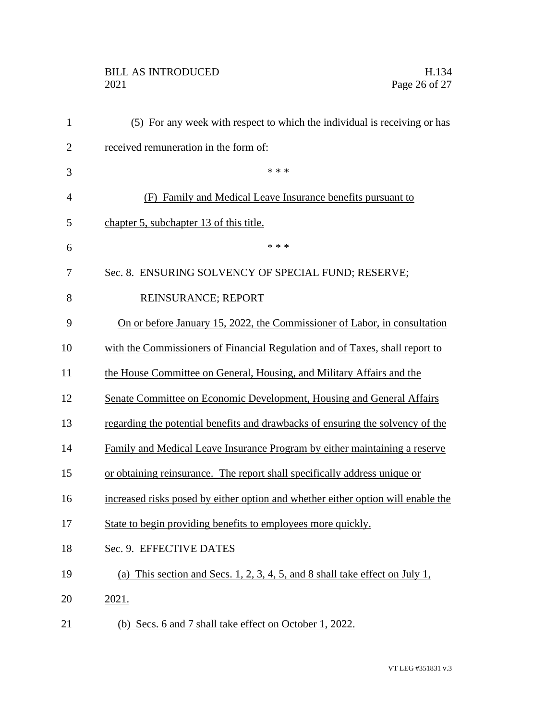## BILL AS INTRODUCED H.134<br>2021 Page 26 of 27

| $\mathbf{1}$   | (5) For any week with respect to which the individual is receiving or has        |
|----------------|----------------------------------------------------------------------------------|
| $\overline{2}$ | received remuneration in the form of:                                            |
| 3              | * * *                                                                            |
| $\overline{4}$ | (F) Family and Medical Leave Insurance benefits pursuant to                      |
| 5              | chapter 5, subchapter 13 of this title.                                          |
| 6              | * * *                                                                            |
| 7              | Sec. 8. ENSURING SOLVENCY OF SPECIAL FUND; RESERVE;                              |
| 8              | REINSURANCE; REPORT                                                              |
| 9              | On or before January 15, 2022, the Commissioner of Labor, in consultation        |
| 10             | with the Commissioners of Financial Regulation and of Taxes, shall report to     |
| 11             | the House Committee on General, Housing, and Military Affairs and the            |
| 12             | Senate Committee on Economic Development, Housing and General Affairs            |
| 13             | regarding the potential benefits and drawbacks of ensuring the solvency of the   |
| 14             | Family and Medical Leave Insurance Program by either maintaining a reserve       |
| 15             | or obtaining reinsurance. The report shall specifically address unique or        |
| 16             | increased risks posed by either option and whether either option will enable the |
| 17             | State to begin providing benefits to employees more quickly.                     |
| 18             | Sec. 9. EFFECTIVE DATES                                                          |
| 19             | (a) This section and Secs. 1, 2, 3, 4, 5, and 8 shall take effect on July 1,     |
| 20             | 2021.                                                                            |
| 21             | (b) Secs. 6 and 7 shall take effect on October 1, 2022.                          |
|                |                                                                                  |